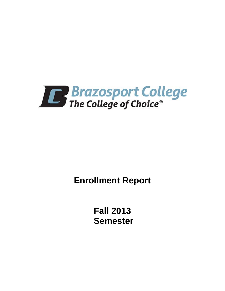

**Enrollment Report** 

**Fall 2013 Semester**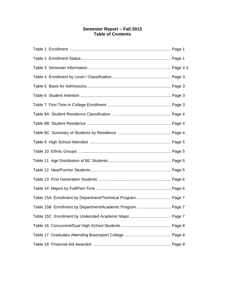# **Semester Report – Fall 2013 Table of Contents**

| Table 15A Enrollment by Department/Technical Program Page 7 |
|-------------------------------------------------------------|
| Table 15B Enrollment by Department/Academic Program  Page 7 |
|                                                             |
|                                                             |
|                                                             |
|                                                             |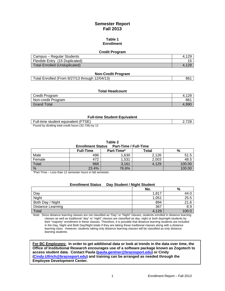# **Semester Report Fall 2013**

## **Table 1 Enrollment**

#### **Credit Program**

| Campus – Regular Students      |  |
|--------------------------------|--|
| Flexible Entry (15 Duplicated) |  |
| Total Enrolled (Unduplicated)  |  |

## **Non-Credit Program**

| Total Enrolled (From 8/27/13 through 12/04/13)<br>861 |
|-------------------------------------------------------|
|-------------------------------------------------------|

#### **Total Headcount**

| Credit Program     | تت    |
|--------------------|-------|
| Non-credit Program | 861   |
| Grand Total        | 4.990 |

## **Full-time Student Equivalent**

| Full-time student equivalent (FTSE)                 | 728 |
|-----------------------------------------------------|-----|
| Found by dividing total credit hours (32,736) by 12 |     |

**Table 2** 

| <b>Part-Time / Full-Time</b><br><b>Enrollment Status</b> |                  |            |       |        |
|----------------------------------------------------------|------------------|------------|-------|--------|
|                                                          | <b>Full-Time</b> | Part-Time* | Total | %      |
| Male                                                     | 496              | 1.630      | 2.126 | 51.5   |
| Female                                                   | 472              | 1.531      | 2.003 | 48.5   |
| Total                                                    | 968              | 3.161      | 4,129 | 100.00 |
| %                                                        | 23.4%            | 76.6%      |       | 100.00 |

\*Part-Time – Less than 12 semester hours in fall semester.

| <b>Enrollment Status</b> | Day Student / Night Student |       |       |
|--------------------------|-----------------------------|-------|-------|
|                          |                             | No.   | %     |
| Day                      |                             | 1.817 | 44.O  |
| Night                    |                             | 1,051 | 25.5  |
| Both Day / Night         |                             | 894   | 21.6  |
| <b>Distance Learning</b> |                             | 367   | 8.9   |
| Total                    |                             | 4.129 | 100.0 |

Note: Since distance learning classes are not classified as "Day" or "Night" classes, students enrolled in distance learning classes as well as traditional "day" or "night" classes are classified as day, night or both day/night students by their "majority" enrollment in these classes. Therefore, it is possible that distance learning students are included in the Day, Night and Both Day/Night totals if they are taking these traditional classes along with a distance learning class. However, students taking only distance learning classes will be classified as only distance learning students.

**For BC Employees: In order to get additional data or look at trends in the data over time, the Office of Institutional Research encourages use of a software package known as Zogotech to access student data. Contact Paula (paula.gentner@brazosport.edu) or Cindy (Cindy.Ullrich@brazosport.edu) and training can be arranged as needed through the Employee Development Center.**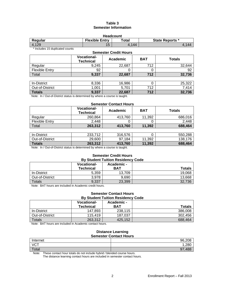## **Table 3 Semester Information**

| <b>Headcount</b>                                                          |    |      |      |  |  |
|---------------------------------------------------------------------------|----|------|------|--|--|
| <b>Flexible Entry</b><br>$\sf total$<br><b>State Reports *</b><br>Regular |    |      |      |  |  |
| 4.129                                                                     | 15 | .144 | .144 |  |  |

\* Includes 15 duplicated counts

| <b>Semester Credit Hours</b> |                                        |                 |            |               |  |
|------------------------------|----------------------------------------|-----------------|------------|---------------|--|
|                              | <b>Vocational-</b><br><b>Technical</b> | <b>Academic</b> | <b>BAT</b> | <b>Totals</b> |  |
| Regular                      | 9,245                                  | 22,687          | 712        | 32,644        |  |
| <b>Flexible Entry</b>        | 92                                     |                 | O          | 92            |  |
| Total                        | 9,337                                  | 22,687          | 712        | 32,736        |  |
|                              |                                        |                 |            |               |  |
| In-District                  | 8,336                                  | 16,986          | O          | 25,322        |  |
| Out-of-District              | 1,001                                  | 5,701           | 712        | 7,414         |  |
| <b>Totals</b>                | 9,337                                  | 22,687          | 712        | 32,736        |  |

Note: In / Out-of-District status is determined by where a course is taught.

#### **Semester Contact Hours**

|                       | <b>Vocational-</b><br>Technical | Academic | <b>BAT</b> | <b>Totals</b> |
|-----------------------|---------------------------------|----------|------------|---------------|
| Regular               | 260,864                         | 413,760  | 11,392     | 686.016       |
| <b>Flexible Entry</b> | 2.448                           |          |            | 2,448         |
| Total                 | 263,312                         | 413,760  | 11.392     | 688,464       |

| In-District     | 233.712 | 316,576   |        | 550,288 |
|-----------------|---------|-----------|--------|---------|
| Out-of-District | 29.600  | 184<br>97 | 11.392 | 138.176 |
| <b>Totals</b>   | 263,312 | 413.760   | 11,392 | 688,464 |

Note: In / Out-of-District status is determined by where a course is taught.

#### **Semester Credit Hours By Student Tuition Residency Code**

|                 | <b>Vocational-</b><br>Technical | Academic -<br><b>BAT</b> | <b>Totals</b> |
|-----------------|---------------------------------|--------------------------|---------------|
| In-District     | 5,359                           | 13,709                   | 19,068        |
| Out-of-District | 3.978                           | 9.690                    | 13,668        |
| <b>Totals</b>   | 9,337                           | 23,399                   | 32,736        |

Note: BAT hours are included in Academic credit hours.

#### **Semester Contact Hours By Student Tuition Residency Code**

|                 | <b>Vocational-</b><br><b>Technical</b> | Academic -<br><b>BAT</b> | <b>Totals</b> |
|-----------------|----------------------------------------|--------------------------|---------------|
| In-District     | 147.893                                | 238.115                  | 386,008       |
| Out-of-District | 115.419                                | 187.037                  | 302.456       |
| $\tau$ otals    | 263,312                                | 425,152                  | 688,464       |

Note: BAT hours are included in Academic contact hours.

#### **Distance Learning Semester Contact Hours**

| ___<br>_____ | ___<br>______<br>_____ |
|--------------|------------------------|
| Internet     | 96,208                 |
| VCT          | 1,280                  |
| Total        | ,488<br>97             |

Note: These contact hour totals do not include hybrid / blended course hours.

The distance learning contact hours are included in semester contact hours.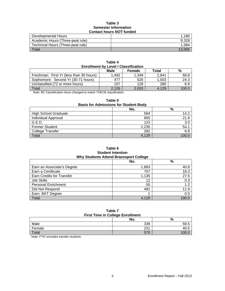## **Table 3 Semester Information Contact hours** *NOT* **funded**

| Developmental Hours               | 1,180  |
|-----------------------------------|--------|
| Academic Hours (Three-peat rule)  | 9.328  |
| Technical Hours (Three-peat rule) | 1.584  |
| Total                             | 12.092 |

| Table 4<br><b>Enrollment by Level / Classification</b> |       |       |       |       |  |
|--------------------------------------------------------|-------|-------|-------|-------|--|
| <b>Male</b><br>%<br>Total<br><b>Female</b>             |       |       |       |       |  |
| Freshman: First Yr (less than 30 hours)                | 1.492 | 1.349 | 2,841 | 68.8  |  |
| Sophomore: Second Yr (30-71 hours)                     | 477   | 526   | 1,003 | 24.3  |  |
| Unclassified (72 or more hours)                        | 157   | 128   | 285   | 6.9   |  |
| Total                                                  | 2,126 | 2.003 | 4.129 | 100.0 |  |

Note: BC Classification hours changed to match THECB classification.

#### **Table 5**

# **Basis for Admissions for Student Body**

|                             | No.   | %     |
|-----------------------------|-------|-------|
| <b>High School Graduate</b> | 584   | 14.2  |
| <b>Individual Approval</b>  | 905   | 21.9  |
| G.E.D.                      | 123   | 3.0   |
| Former Student              | 2,235 | 54.1  |
| College Transfer            | 282   | 6.8   |
| Total                       | 4,129 | 100.0 |

## **Table 6 Student Intention Why Students Attend Brazosport College**

|                            | No.   | %     |
|----------------------------|-------|-------|
| Earn an Associate's Degree | 1,683 | 40.8  |
| Earn a Certificate         | 757   | 18.3  |
| Earn Credits for Transfer  | 1,135 | 27.5  |
| Job Skills                 | 12    | 0.3   |
| <b>Personal Enrichment</b> | 50    | 1.2   |
| Did Not Respond            | 491   | 11.9  |
| Earn BAT Degree            |       | 0.0   |
| Total                      | 4.129 | 100.0 |

#### **Table 7 First Time in College Enrollment**

|        | No.             | %    |  |
|--------|-----------------|------|--|
| Male   | 339             | 59.5 |  |
| Female | 231             | 40.L |  |
| Total  | 57 <sub>C</sub> |      |  |

Note: FTIC excludes transfer students.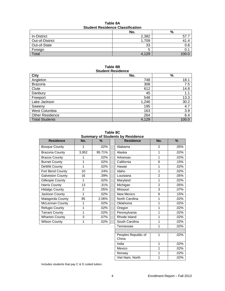| Student Residence Classification |       |      |  |
|----------------------------------|-------|------|--|
|                                  | No.   | %    |  |
| In-District                      | 2,382 |      |  |
| Out-of-District                  | 1,709 |      |  |
| Out-of-State                     | 33    | 0.8  |  |
| Foreign                          |       |      |  |
| Total                            | 4.129 | 1 በበ |  |

**Table 8A Student Residence Classification** 

## **Table 8B Student Residence**

| <b>City</b>            | No.   | $\%$  |
|------------------------|-------|-------|
| Angleton               | 748   | 18.1  |
| <b>Brazoria</b>        | 308   | 7.5   |
| Clute                  | 612   | 14.8  |
| Danbury                | 45    | 1.1   |
| Freeport               | 548   | 13.3  |
| Lake Jackson           | 1,246 | 30.2  |
| Sweeny                 | 195   | 4.7   |
| West Columbia          | 163   | 3.9   |
| <b>Other Residence</b> | 264   | 6.4   |
| <b>Total Students</b>  | 4,129 | 100.0 |

**Table 8C Summary of Students by Residence** 

| ounnnary or otuu        |       |         |  |
|-------------------------|-------|---------|--|
| <b>Residence</b>        | No.   | %       |  |
| <b>Bosque County</b>    | 1     | $.02\%$ |  |
| <b>Brazoria County</b>  | 3,952 | 95.71%  |  |
| <b>Brazos County</b>    | 1     | .02%    |  |
| <b>Burnet County</b>    | 1     | .02%    |  |
| DeWitt County           | 1     | .02%    |  |
| Fort Bend County        | 10    | .24%    |  |
| <b>Galveston County</b> | 16    | .39%    |  |
| Gillespie County        | 1     | .02%    |  |
| <b>Harris County</b>    | 13    | .31%    |  |
| <b>Hidalgo County</b>   | 2     | .05%    |  |
| Jackson County          | 1     | .02%    |  |
| Matagorda County        | 85    | 2.06%   |  |
| McLennan County         | 1     | .02%    |  |
| Refugio County          | 1     | .02%    |  |
| <b>Tarrant County</b>   | 1     | .02%    |  |
| <b>Wharton County</b>   | 3     | .07%    |  |
| <b>Wilson County</b>    |       | .02%    |  |

| <b>Julian Marting Contract Contracts</b> |                |        |                              |                |               |
|------------------------------------------|----------------|--------|------------------------------|----------------|---------------|
| <b>Residence</b>                         | No.            | $\%$   | <b>Residence</b>             | No.            | $\frac{9}{6}$ |
| <b>Bosque County</b>                     | 1              | .02%   | Alabama                      | $\mathcal{P}$  | .05%          |
| Brazoria County                          | 3,952          | 95.71% | Alaska                       | 1              | .02%          |
| <b>Brazos County</b>                     | 1              | .02%   | Arkansas                     | 1              | $.02\%$       |
| <b>Burnet County</b>                     | 1              | .02%   | California                   | 6              | .15%          |
| DeWitt County                            | 1              | .02%   | Hawaii                       | 1              | .02%          |
| Fort Bend County                         | 10             | .24%   | Idaho                        | 1              | .02%          |
| Galveston County                         | 16             | .39%   | Louisiana                    | 2              | .05%          |
| Gillespie County                         | 1              | .02%   | Maryland                     | 1              | .02%          |
| Harris County                            | 13             | .31%   | Michigan                     | $\overline{2}$ | .05%          |
| Hidalgo County                           | $\overline{c}$ | .05%   | Missouri                     | 3              | .07%          |
| <b>Jackson County</b>                    | 1              | .02%   | New Mexico                   | 6              | .15%          |
| Matagorda County                         | 85             | 2.06%  | North Carolina               | 1              | .02%          |
| McLennan County                          | 1              | .02%   | Oklahoma                     | 1              | .02%          |
| Refugio County                           | 1              | .02%   | Oregon                       | 1              | .02%          |
| <b>Tarrant County</b>                    | 1              | .02%   | Pennsylvania                 | 1              | .02%          |
| <b>Wharton County</b>                    | 3              | .07%   | Rhode Island                 | 1              | .02%          |
| <b>Wilson County</b>                     | 1              | .02%   | South Carolina               | 1              | .02%          |
|                                          |                |        | Tennessee                    | 1              | $.02\%$       |
|                                          |                |        |                              |                |               |
|                                          |                |        | Peoples Republic of<br>China | 1              | .02%          |
|                                          |                |        | India                        | 1              | .02%          |
|                                          |                |        | Mexico                       | 1              | .02%          |
|                                          |                |        | Norway                       | 1              | .02%          |
|                                          |                |        | Viet Nam, North              | 1              | .02%          |

Includes students that pay C & D coded tuition.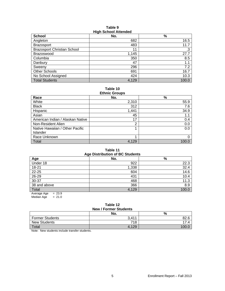## **Table 9 High School Attended**

| <b>School</b>                      | -<br>No. | $\%$  |
|------------------------------------|----------|-------|
| Angleton                           | 682      | 16.5  |
| <b>Brazosport</b>                  | 483      | 11.7  |
| <b>Brazosport Christian School</b> | 11       | .3    |
| Brazoswood                         | 1,145    | 27.7  |
| Columbia                           | 350      | 8.5   |
| Danbury                            | 47       | 1.1   |
| Sweeny                             | 296      | 7.2   |
| Other Schools                      | 691      | 16.7  |
| No School Assigned                 | 424      | 10.3  |
| <b>Total Students</b>              | 4,129    | 100.0 |

**Table 10 Ethnic Groups** 

| LUINU VIVUDS                     |       |       |  |  |
|----------------------------------|-------|-------|--|--|
| Race                             | No.   | $\%$  |  |  |
| White                            | 2,310 | 55.9  |  |  |
| <b>Black</b>                     | 312   | 7.6   |  |  |
| Hispanic                         | 1,441 | 34.9  |  |  |
| Asian                            | 45    | 1.1   |  |  |
| American Indian / Alaskan Native | 17    | 0.4   |  |  |
| Non-Resident Alien               | 2     | 0.0   |  |  |
| Native Hawaiian / Other Pacific  |       | 0.0   |  |  |
| Islander                         |       |       |  |  |
| Race Unknown                     |       |       |  |  |
| Total                            | 4.129 | 100.0 |  |  |

## **Table 11**

| <b>Age Distribution of BC Students</b> |       |       |  |  |
|----------------------------------------|-------|-------|--|--|
| Age                                    | No.   | %     |  |  |
| Under 18                               | 922   | 22.3  |  |  |
| $18 - 21$                              | 1,338 | 32.4  |  |  |
| $22 - 25$                              | 604   | 14.6  |  |  |
| $26 - 29$                              | 431   | 10.4  |  |  |
| $30 - 37$                              | 468   | 11.3  |  |  |
| 38 and above                           | 366   | 8.9   |  |  |
| Total                                  | 4,129 | 100.0 |  |  |
| $= 23.9$<br>Average Age                |       |       |  |  |

Median Age  $= 21.0$ 

# **Table 12**

| <b>New / Former Students</b> |       |      |  |  |
|------------------------------|-------|------|--|--|
| No.<br>%                     |       |      |  |  |
| <b>Former Students</b>       | 3.411 | 82.6 |  |  |
| New Students                 | 718   | 17 4 |  |  |
| Total                        | 4,129 |      |  |  |

Note: New students include transfer students.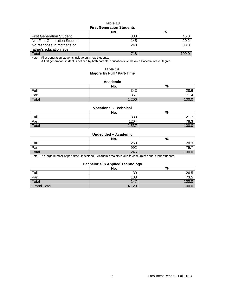## **Table 13 First Generation Students**

|                                     | No. | %    |  |  |
|-------------------------------------|-----|------|--|--|
| <b>First Generation Student</b>     | 330 | 46.0 |  |  |
| <b>Not First Generation Student</b> | 145 | 20.2 |  |  |
| No response in mother's or          | 243 | 33.8 |  |  |
| father's education level            |     |      |  |  |
| Total                               | 718 |      |  |  |

Note: First generation students include only new students.

A first generation student is defined by both parents' education level below a Baccalaureate Degree.

## **Table 14 Majors by Full / Part-Time**

#### **Academic**

|       | No.  | $\Omega$<br>70 |
|-------|------|----------------|
| Full  | 343  | 28.6           |
| Part  | 857  | 71             |
| Total | ,200 |                |

## **Vocational - Technical**

|       | No.   | $\mathbf{0}$<br>70 |
|-------|-------|--------------------|
| Full  | 333   | $\sim$<br><u>.</u> |
| Part  | 1204  | 78.3               |
| Total | 1,537 | 100.0              |

#### **Undecided – Academic**

|       | No.   | %     |
|-------|-------|-------|
| Full  | 253   | 20.3  |
| Part  | 992   | 79.7  |
| Total | 1,245 | 100.1 |

Note: The large number of part-time Undecided – Academic majors is due to concurrent / dual credit students.

## **Bachelor's in Applied Technology**

|                    | No.   | .<br>% |
|--------------------|-------|--------|
| Full               | 39    | 26.5   |
| Part               | 108   | 73.5   |
| Total              | 147   | 100.0  |
| <b>Grand Total</b> | 4,129 | 100.0  |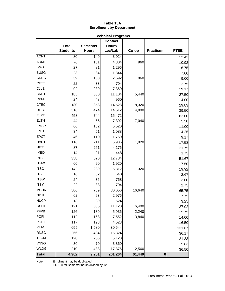# **Table 15A Enrollment by Department**

|              | <b>Technical Programs</b> |                 |                |        |                  |             |
|--------------|---------------------------|-----------------|----------------|--------|------------------|-------------|
|              |                           |                 | <b>Contact</b> |        |                  |             |
|              | <b>Total</b>              | <b>Semester</b> | <b>Hours</b>   |        |                  |             |
|              | <b>Students</b>           | <b>Hours</b>    | Lec/Lab        | Co-op  | <b>Practicum</b> | <b>FTSE</b> |
| <b>ACNT</b>  | 80                        | 149             | 3,024          |        |                  | 12.42       |
| <b>AUMT</b>  | 76                        | 131             | 4,304          | 960    |                  | 10.92       |
| <b>BMGT</b>  | 27                        | 81              | 1,296          |        |                  | 6.75        |
| <b>BUSG</b>  | 28                        | 84              | 1,344          |        |                  | 7.00        |
| <b>CDEC</b>  | 39                        | 108             | 2,592          | 960    |                  | 9.00        |
| <b>CETT</b>  | 22                        | 33              | 704            |        |                  | 2.75        |
| <b>CJLE</b>  | 92                        | 230             | 7,360          |        |                  | 19.17       |
| <b>CNBT</b>  | 185                       | 330             | 11,104         | 5,440  |                  | 27.50       |
| <b>CPMT</b>  | 24                        | 48              | 960            |        |                  | 4.00        |
| <b>CTEC</b>  | 180                       | 358             | 14,528         | 8,320  |                  | 29.83       |
| <b>DFTG</b>  | 316                       | 474             | 14,512         | 4,800  |                  | 39.50       |
| <b>ELPT</b>  | 458                       | 744             | 15,472         |        |                  | 62.00       |
| <b>ELTN</b>  | 44                        | 66              | 7,392          | 7,040  |                  | 5.50        |
| <b>EMSP</b>  | 66                        | 132             | 5,520          |        |                  | 11.00       |
| <b>ENTC</b>  | 34                        | 51              | 1,088          |        |                  | 4.25        |
| <b>EPCT</b>  | 46                        | 110             | 1,760          |        |                  | 9.17        |
| <b>HART</b>  | 116                       | 211             | 5,936          | 1,920  |                  | 17.58       |
| <b>HITT</b>  | 87                        | 261             | 4,176          |        |                  | 21.75       |
| <b>IMED</b>  | 14                        | 21              | 448            |        |                  | 1.75        |
| <b>INTC</b>  | 358                       | 620             | 12,784         |        |                  | 51.67       |
| <b>ITNW</b>  | 60                        | 90              | 1,920          |        |                  | 7.50        |
| <b>ITSC</b>  | 142                       | 239             | 5,312          | 320    |                  | 19.92       |
| <b>ITSE</b>  | 16                        | 32              | 640            |        |                  | 2.67        |
| <b>ITSW</b>  | 24                        | 36              | 768            |        |                  | 3.00        |
| <b>ITSY</b>  | 22                        | 33              | 704            |        |                  | 2.75        |
| <b>MCHN</b>  | 506                       | 789             | 30,656         | 16,640 |                  | 65.75       |
| <b>NDTE</b>  | 62                        | 93              | 2,976          |        |                  | 7.75        |
| <b>NUCP</b>  | 13                        | 39              | 624            |        |                  | 3.25        |
| <b>OSHT</b>  | 121                       | 335             | 11,120         | 6,400  |                  | 27.92       |
| PFPB         | 126                       | 189             | 5,936          | 2,240  |                  | 15.75       |
| <b>POFI</b>  | 112                       | 168             | 7,552          | 3,840  |                  | 14.00       |
| <b>POFT</b>  | 117                       | 198             | 4,528          |        |                  | 16.50       |
| <b>PTAC</b>  | 655                       | 1,580           | 30,544         |        |                  | 131.67      |
| <b>RNSG</b>  | 266                       | 434             | 15,824         |        |                  | 36.17       |
| <b>TECM</b>  | 128                       | 256             | 5,120          |        |                  | 21.33       |
| <b>VNSG</b>  | 30                        | 70              | 3,360          |        |                  | 5.83        |
| <b>WLDG</b>  | 210                       | 438             | 17,376         | 2,560  |                  | 36.50       |
| <b>Total</b> | 4,902                     | 9,261           | 261,264        | 61,440 | $\bf{0}$         |             |

Note: Enrollment may be duplicated.

FTSE = fall semester hours divided by 12.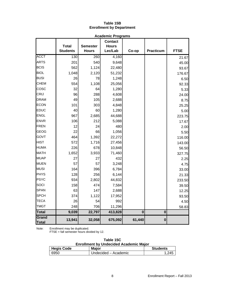# **Table 15B Enrollment by Department**

|                            | <b>Academic Programs</b>        |                                 |                                           |          |                  |             |
|----------------------------|---------------------------------|---------------------------------|-------------------------------------------|----------|------------------|-------------|
|                            | <b>Total</b><br><b>Students</b> | <b>Semester</b><br><b>Hours</b> | <b>Contact</b><br><b>Hours</b><br>Lec/Lab | Co-op    | <b>Practicum</b> | <b>FTSE</b> |
| <b>ACCT</b>                | 130                             | 260                             | 4,160                                     |          |                  |             |
|                            |                                 |                                 |                                           |          |                  | 21.67       |
| <b>ARTS</b><br><b>BCIS</b> | 201                             | 540                             | 9,648                                     |          |                  | 45.00       |
| <b>BIOL</b>                | 562                             | 1,124                           | 22,480                                    |          |                  | 93.67       |
|                            | 1,048                           | 2,120                           | 51,232                                    |          |                  | 176.67      |
| <b>BUSI</b>                | 26                              | 78                              | 1,248                                     |          |                  | 6.50        |
| <b>CHEM</b>                | 554                             | 1,108                           | 25,056                                    |          |                  | 92.33       |
| cosc                       | 32                              | 64                              | 1,280                                     |          |                  | 5.33        |
| <b>CRIJ</b>                | 96                              | 288                             | 4,608                                     |          |                  | 24.00       |
| <b>DRAM</b>                | 49                              | 105                             | 2,688                                     |          |                  | 8.75        |
| <b>ECON</b>                | 101                             | 303                             | 4,848                                     |          |                  | 25.25       |
| <b>EDUC</b>                | 40                              | 60                              | 1,280                                     |          |                  | 5.00        |
| <b>ENGL</b>                | 967                             | 2,685                           | 44,688                                    |          |                  | 223.75      |
| <b>ENVR</b>                | 106                             | 212                             | 5,088                                     |          |                  | 17.67       |
| FREN                       | 12                              | 24                              | 480                                       |          |                  | 2.00        |
| <b>GEOG</b>                | 22                              | 66                              | 1,056                                     |          |                  | 5.50        |
| GOVT                       | 464                             | 1,392                           | 22,272                                    |          |                  | 116.00      |
| <b>HIST</b>                | 572                             | 1,716                           | 27,456                                    |          |                  | 143.00      |
| <b>HUMA</b>                | 226                             | 678                             | 10,848                                    |          |                  | 56.50       |
| <b>MATH</b>                | 1,652                           | 3,933                           | 71,460                                    |          |                  | 327.75      |
| <b>MUAP</b>                | 27                              | 27                              | 432                                       |          |                  | 2.25        |
| <b>MUEN</b>                | 57                              | 57                              | 3,248                                     |          |                  | 4.75        |
| <b>MUSI</b>                | 164                             | 396                             | 6,784                                     |          |                  | 33.00       |
| PHYS                       | 128                             | 256                             | 6,144                                     |          |                  | 21.33       |
| <b>PSYC</b>                | 934                             | 2,802                           | 44,832                                    |          |                  | 233.50      |
| SOCI                       | 158                             | 474                             | 7,584                                     |          |                  | 39.50       |
| <b>SPAN</b>                | 63                              | 147                             | 2,688                                     |          |                  | 12.25       |
| <b>SPCH</b>                | 374                             | 1,122                           | 17,952                                    |          |                  | 93.50       |
| <b>TECA</b>                | 26                              | 54                              | 992                                       |          |                  | 4.50        |
| <b>TMGT</b>                | 248                             | 706                             | 11,296                                    |          |                  | 58.83       |
| <b>Total</b>               | 9,039                           | 22,797                          | 413,828                                   | $\bf{0}$ | $\mathbf 0$      |             |
| Grand<br>Total             | 13,941                          | 32,058                          | 675,092                                   | 61,440   | $\bf{0}$         |             |

Note: Enrollment may be duplicated.

FTSE = fall semester hours divided by 12.

| Table 15C |  |
|-----------|--|
|-----------|--|

|  |  | <b>Enrollment by Undecided Academic Major</b> |
|--|--|-----------------------------------------------|
|--|--|-----------------------------------------------|

| <b>Hegis Code</b> | <b>Major</b>         | <b>Students</b> |
|-------------------|----------------------|-----------------|
| 6950              | Undecided – Academic |                 |